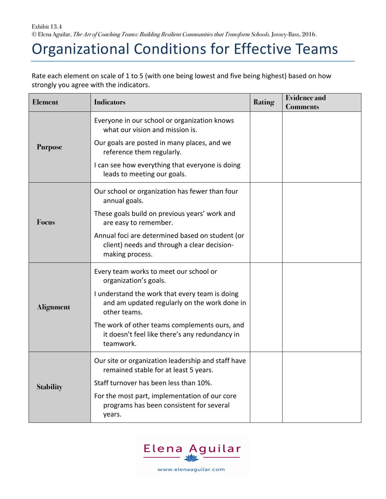Exhibit 13.4 © Elena Aguilar, *The Art of Coaching Teams: Building Resilient Communities that Transform Schools.* Jossey-Bass, 2016.

## Organizational Conditions for Effective Teams

Rate each element on scale of 1 to 5 (with one being lowest and five being highest) based on how strongly you agree with the indicators.

| <b>Element</b>   | <b>Indicators</b>                                                                                                 | <b>Rating</b> | <b>Evidence and</b><br><b>Comments</b> |
|------------------|-------------------------------------------------------------------------------------------------------------------|---------------|----------------------------------------|
| <b>Purpose</b>   | Everyone in our school or organization knows<br>what our vision and mission is.                                   |               |                                        |
|                  | Our goals are posted in many places, and we<br>reference them regularly.                                          |               |                                        |
|                  | I can see how everything that everyone is doing<br>leads to meeting our goals.                                    |               |                                        |
| <b>Focus</b>     | Our school or organization has fewer than four<br>annual goals.                                                   |               |                                        |
|                  | These goals build on previous years' work and<br>are easy to remember.                                            |               |                                        |
|                  | Annual foci are determined based on student (or<br>client) needs and through a clear decision-<br>making process. |               |                                        |
| <b>Alignment</b> | Every team works to meet our school or<br>organization's goals.                                                   |               |                                        |
|                  | I understand the work that every team is doing<br>and am updated regularly on the work done in<br>other teams.    |               |                                        |
|                  | The work of other teams complements ours, and<br>it doesn't feel like there's any redundancy in<br>teamwork.      |               |                                        |
| <b>Stability</b> | Our site or organization leadership and staff have<br>remained stable for at least 5 years.                       |               |                                        |
|                  | Staff turnover has been less than 10%.                                                                            |               |                                        |
|                  | For the most part, implementation of our core<br>programs has been consistent for several<br>years.               |               |                                        |